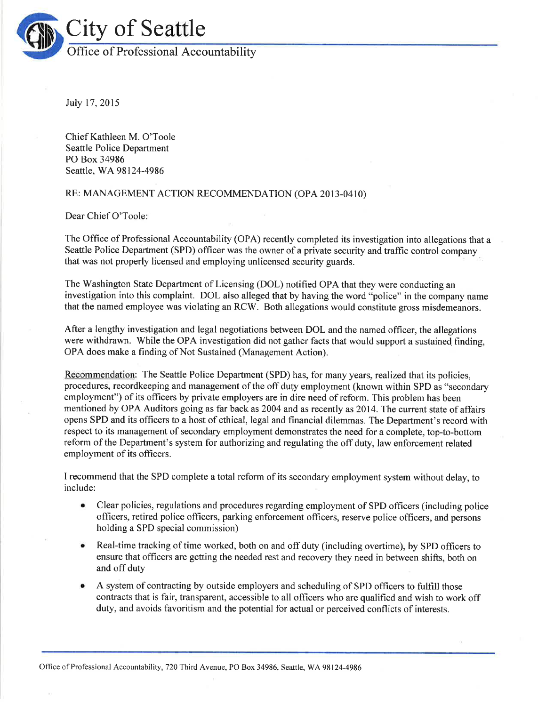

Iuly 17,2015

Chief Kathleen M. O'Toole Seattle Police Department PO Box 34986 Seattle, WA98124-4986

## RE: MANAGEMENT ACTION RECOMMENDATION (OPA 2013-0410)

Dear Chief O'Toole:

The Office of Professional Accountability (OPA) recently completed its investigation into allegations that a Seattle Police Department (SPD) officer was the owner of a private security and traffic control company that was not properly licensed and employing unlicensed security guards.

The Washington State Department of Licensing (DOL) notified OPA that they were conducting an investigation into this complaint. DOL also alleged that by having the word "police" in the company name that the named employee was violating an RCW. Both allegations would constitute gross misdemeanors.

After a lengthy investigation and legal negotiations between DOL and the named officer, the allegations were withdrawn. While the OPA investigation did not gather facts that would support a sustained finding, OPA does make a finding of Not Sustained (Management Action).

Recommendation: The Seattle Police Department (SPD) has, for many years, realized that its policies, procedures, recordkeeping and management of the off duty employment (known within SPD as "secondary employment") of its officers by private employers are in dire need of reform. This problem has been mentioned by OPA Auditors going as far back as 2004 and as recently as 2014. The current state of affairs opens SPD and its offrcers to a host of ethical, legal and financial dilemmas. The Department's record with respect to its management of secondary employment demonstrates the need for a complete, top-to-bottom reform of the Department's system for authorizing and regulating the off duty, law enforcement related employment of its officers.

I recommend that the SPD complete a total reform of its secondary employment system without delay, to include:

- o Clear policies, regulations and procedures regarding employment of SPD officers (including police officers, retired police officers, parking enforcement officers, reserve police officers, and persons holding a SPD special commission)
- Real-time tracking of time worked, both on and off duty (including overtime), by SPD officers to ensure that officers are getting the needed rest and recovery they need in between shifts, both on and off duty
- A system of contracting by outside employers and scheduling of SPD officers to fulfill those contracts that is fair, transparent, accessible to all officers who are qualified and wish to work off duty, and avoids favoritism and the potential for actual or perceived conflicts of interests.